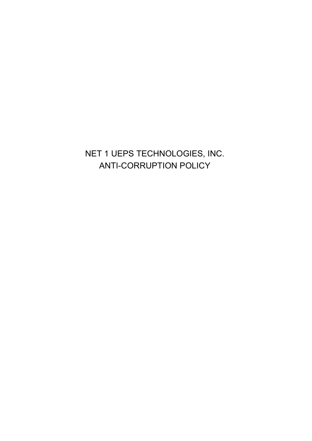# NET 1 UEPS TECHNOLOGIES, INC. ANTI-CORRUPTION POLICY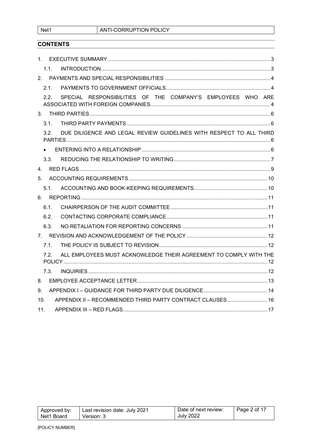Net1

## **CONTENTS**

| $1_{\ldots}$    |                  |                                                                     |  |
|-----------------|------------------|---------------------------------------------------------------------|--|
|                 | 1.1.             |                                                                     |  |
|                 |                  |                                                                     |  |
|                 | 21               |                                                                     |  |
|                 | 2.2.             | SPECIAL RESPONSIBILITIES OF THE COMPANY'S EMPLOYEES WHO ARE         |  |
|                 |                  |                                                                     |  |
|                 | 3.1              |                                                                     |  |
|                 | 3.2 <sub>1</sub> | DUE DILIGENCE AND LEGAL REVIEW GUIDELINES WITH RESPECT TO ALL THIRD |  |
|                 |                  |                                                                     |  |
|                 | 3.3.             |                                                                     |  |
| $4_{-}$         |                  |                                                                     |  |
| 5.              |                  |                                                                     |  |
|                 | 5.1              |                                                                     |  |
|                 |                  |                                                                     |  |
|                 | 6.1.             |                                                                     |  |
|                 | 6.2.             |                                                                     |  |
|                 | 6.3.             |                                                                     |  |
|                 |                  |                                                                     |  |
|                 | 7.1              |                                                                     |  |
|                 | 7.2.             | ALL EMPLOYEES MUST ACKNOWLEDGE THEIR AGREEMENT TO COMPLY WITH THE   |  |
|                 | 7.3.             |                                                                     |  |
| 8.              |                  |                                                                     |  |
| 9.              |                  |                                                                     |  |
| 10 <sub>1</sub> |                  | APPENDIX II - RECOMMENDED THIRD PARTY CONTRACT CLAUSES 16           |  |
| 11.             |                  |                                                                     |  |

| Approved by: | Last revision date: July 2021 | Date of next review: | Page 2 of 17 |
|--------------|-------------------------------|----------------------|--------------|
| Net1 Board   | Version: 3                    | <b>July 2022</b>     |              |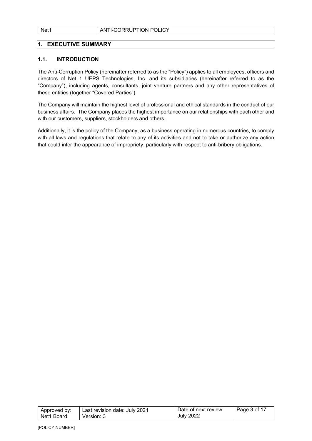#### 1. EXECUTIVE SUMMARY

#### 1.1. INTRODUCTION

The Anti-Corruption Policy (hereinafter referred to as the "Policy") applies to all employees, officers and directors of Net 1 UEPS Technologies, Inc. and its subsidiaries (hereinafter referred to as the "Company"), including agents, consultants, joint venture partners and any other representatives of these entities (together "Covered Parties").

The Company will maintain the highest level of professional and ethical standards in the conduct of our business affairs. The Company places the highest importance on our relationships with each other and with our customers, suppliers, stockholders and others.

Additionally, it is the policy of the Company, as a business operating in numerous countries, to comply with all laws and regulations that relate to any of its activities and not to take or authorize any action that could infer the appearance of impropriety, particularly with respect to anti-bribery obligations.

| Approved by: | Last revision date: July 2021 | Date of next review: | $\vert$ Page 3 of 17 |
|--------------|-------------------------------|----------------------|----------------------|
| l Net1 Board | Version: 3                    | <b>July 2022</b>     |                      |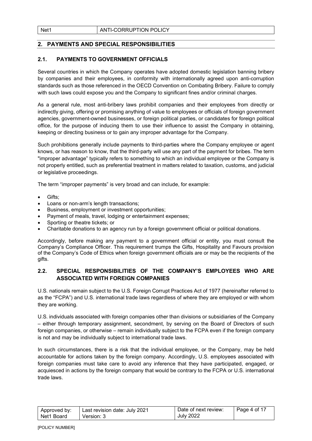## 2. PAYMENTS AND SPECIAL RESPONSIBILITIES

#### 2.1. PAYMENTS TO GOVERNMENT OFFICIALS

Several countries in which the Company operates have adopted domestic legislation banning bribery by companies and their employees, in conformity with internationally agreed upon anti-corruption standards such as those referenced in the OECD Convention on Combating Bribery. Failure to comply with such laws could expose you and the Company to significant fines and/or criminal charges.

As a general rule, most anti-bribery laws prohibit companies and their employees from directly or indirectly giving, offering or promising anything of value to employees or officials of foreign government agencies, government-owned businesses, or foreign political parties, or candidates for foreign political office, for the purpose of inducing them to use their influence to assist the Company in obtaining, keeping or directing business or to gain any improper advantage for the Company.

Such prohibitions generally include payments to third-parties where the Company employee or agent knows, or has reason to know, that the third-party will use any part of the payment for bribes. The term "improper advantage" typically refers to something to which an individual employee or the Company is not properly entitled, such as preferential treatment in matters related to taxation, customs, and judicial or legislative proceedings.

The term "improper payments" is very broad and can include, for example:

- Gifts;
- Loans or non-arm's length transactions;
- Business, employment or investment opportunities;
- Payment of meals, travel, lodging or entertainment expenses;
- Sporting or theatre tickets; or
- Charitable donations to an agency run by a foreign government official or political donations.

Accordingly, before making any payment to a government official or entity, you must consult the Company's Compliance Officer. This requirement trumps the Gifts, Hospitality and Favours provision of the Company's Code of Ethics when foreign government officials are or may be the recipients of the gifts.

## 2.2. SPECIAL RESPONSIBILITIES OF THE COMPANY'S EMPLOYEES WHO ARE ASSOCIATED WITH FOREIGN COMPANIES

U.S. nationals remain subject to the U.S. Foreign Corrupt Practices Act of 1977 (hereinafter referred to as the "FCPA") and U.S. international trade laws regardless of where they are employed or with whom they are working.

U.S. individuals associated with foreign companies other than divisions or subsidiaries of the Company – either through temporary assignment, secondment, by serving on the Board of Directors of such foreign companies, or otherwise – remain individually subject to the FCPA even if the foreign company is not and may be individually subject to international trade laws.

In such circumstances, there is a risk that the individual employee, or the Company, may be held accountable for actions taken by the foreign company. Accordingly, U.S. employees associated with foreign companies must take care to avoid any inference that they have participated, engaged, or acquiesced in actions by the foreign company that would be contrary to the FCPA or U.S. international trade laws.

| Approved by: | Last revision date: July 2021 | Date of next review: | Page 4 of 17 |
|--------------|-------------------------------|----------------------|--------------|
| Net1 Board   | Version: 3                    | <b>July 2022</b>     |              |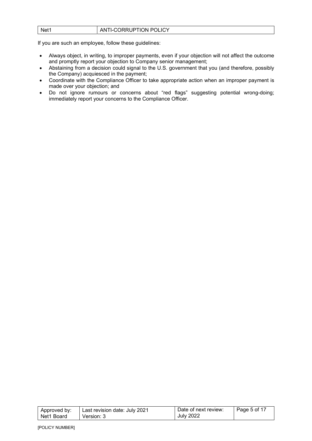| Net1 | ANTI-CORRUPTION POLICY |
|------|------------------------|
|      |                        |

If you are such an employee, follow these guidelines:

- Always object, in writing, to improper payments, even if your objection will not affect the outcome and promptly report your objection to Company senior management;
- Abstaining from a decision could signal to the U.S. government that you (and therefore, possibly the Company) acquiesced in the payment;
- Coordinate with the Compliance Officer to take appropriate action when an improper payment is made over your objection; and
- Do not ignore rumours or concerns about "red flags" suggesting potential wrong-doing; immediately report your concerns to the Compliance Officer.

| Approved by: | l  Last revision date: Julv 2021 | Date of next review: | $\vert$ Page 5 of 17 |
|--------------|----------------------------------|----------------------|----------------------|
| Net1 Board   | Version: 3                       | <b>July 2022</b>     |                      |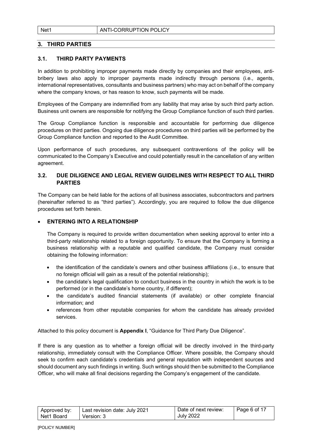## 3. THIRD PARTIES

#### 3.1. THIRD PARTY PAYMENTS

In addition to prohibiting improper payments made directly by companies and their employees, antibribery laws also apply to improper payments made indirectly through persons (i.e., agents, international representatives, consultants and business partners) who may act on behalf of the company where the company knows, or has reason to know, such payments will be made.

Employees of the Company are indemnified from any liability that may arise by such third party action. Business unit owners are responsible for notifying the Group Compliance function of such third parties.

The Group Compliance function is responsible and accountable for performing due diligence procedures on third parties. Ongoing due diligence procedures on third parties will be performed by the Group Compliance function and reported to the Audit Committee.

Upon performance of such procedures, any subsequent contraventions of the policy will be communicated to the Company's Executive and could potentially result in the cancellation of any written agreement.

#### 3.2. DUE DILIGENCE AND LEGAL REVIEW GUIDELINES WITH RESPECT TO ALL THIRD PARTIES

The Company can be held liable for the actions of all business associates, subcontractors and partners (hereinafter referred to as "third parties"). Accordingly, you are required to follow the due diligence procedures set forth herein.

#### ENTERING INTO A RELATIONSHIP

The Company is required to provide written documentation when seeking approval to enter into a third-party relationship related to a foreign opportunity. To ensure that the Company is forming a business relationship with a reputable and qualified candidate, the Company must consider obtaining the following information:

- the identification of the candidate's owners and other business affiliations (i.e., to ensure that no foreign official will gain as a result of the potential relationship);
- the candidate's legal qualification to conduct business in the country in which the work is to be performed (or in the candidate's home country, if different);
- the candidate's audited financial statements (if available) or other complete financial information; and
- references from other reputable companies for whom the candidate has already provided services.

Attached to this policy document is Appendix I, "Guidance for Third Party Due Diligence".

If there is any question as to whether a foreign official will be directly involved in the third-party relationship, immediately consult with the Compliance Officer. Where possible, the Company should seek to confirm each candidate's credentials and general reputation with independent sources and should document any such findings in writing. Such writings should then be submitted to the Compliance Officer, who will make all final decisions regarding the Company's engagement of the candidate.

| Approved by: | Last revision date: July 2021 | Date of next review: | $\overline{1}$ Page 6 of 17 |
|--------------|-------------------------------|----------------------|-----------------------------|
| Net1 Board   | Version: 3                    | <b>July 2022</b>     |                             |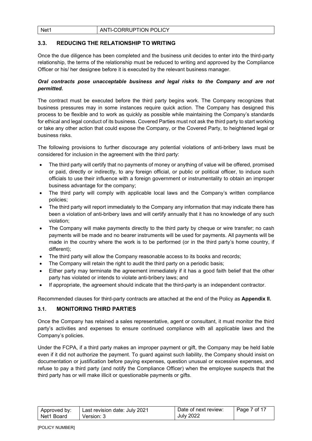## Net1 **ANTI-CORRUPTION POLICY**

## 3.3. REDUCING THE RELATIONSHIP TO WRITING

Once the due diligence has been completed and the business unit decides to enter into the third-party relationship, the terms of the relationship must be reduced to writing and approved by the Compliance Officer or his/ her designee before it is executed by the relevant business manager.

## Oral contracts pose unacceptable business and legal risks to the Company and are not permitted.

The contract must be executed before the third party begins work. The Company recognizes that business pressures may in some instances require quick action. The Company has designed this process to be flexible and to work as quickly as possible while maintaining the Company's standards for ethical and legal conduct of its business. Covered Parties must not ask the third party to start working or take any other action that could expose the Company, or the Covered Party, to heightened legal or business risks.

The following provisions to further discourage any potential violations of anti-bribery laws must be considered for inclusion in the agreement with the third party:

- The third party will certify that no payments of money or anything of value will be offered, promised or paid, directly or indirectly, to any foreign official, or public or political officer, to induce such officials to use their influence with a foreign government or instrumentality to obtain an improper business advantage for the company;
- The third party will comply with applicable local laws and the Company's written compliance policies;
- The third party will report immediately to the Company any information that may indicate there has been a violation of anti-bribery laws and will certify annually that it has no knowledge of any such violation;
- The Company will make payments directly to the third party by cheque or wire transfer; no cash payments will be made and no bearer instruments will be used for payments. All payments will be made in the country where the work is to be performed (or in the third party's home country, if different);
- The third party will allow the Company reasonable access to its books and records;
- The Company will retain the right to audit the third party on a periodic basis;
- Either party may terminate the agreement immediately if it has a good faith belief that the other party has violated or intends to violate anti-bribery laws; and
- If appropriate, the agreement should indicate that the third-party is an independent contractor.

Recommended clauses for third-party contracts are attached at the end of the Policy as Appendix II.

#### 3.1. MONITORING THIRD PARTIES

Once the Company has retained a sales representative, agent or consultant, it must monitor the third party's activities and expenses to ensure continued compliance with all applicable laws and the Company's policies.

Under the FCPA, if a third party makes an improper payment or gift, the Company may be held liable even if it did not authorize the payment. To guard against such liability, the Company should insist on documentation or justification before paying expenses, question unusual or excessive expenses, and refuse to pay a third party (and notify the Compliance Officer) when the employee suspects that the third party has or will make illicit or questionable payments or gifts.

| Approved by: | Last revision date: July 2021 | Date of next review: | Page 7 of 17 |
|--------------|-------------------------------|----------------------|--------------|
| Net1 Board   | Version: 3                    | <b>July 2022</b>     |              |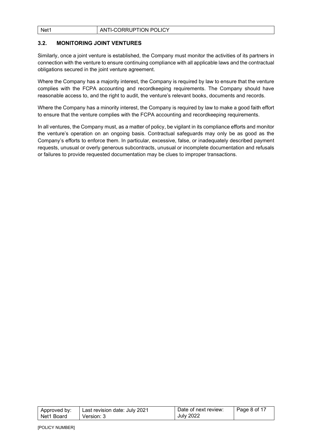#### Net1 **ANTI-CORRUPTION POLICY**

#### 3.2. MONITORING JOINT VENTURES

Similarly, once a joint venture is established, the Company must monitor the activities of its partners in connection with the venture to ensure continuing compliance with all applicable laws and the contractual obligations secured in the joint venture agreement.

Where the Company has a majority interest, the Company is required by law to ensure that the venture complies with the FCPA accounting and recordkeeping requirements. The Company should have reasonable access to, and the right to audit, the venture's relevant books, documents and records.

Where the Company has a minority interest, the Company is required by law to make a good faith effort to ensure that the venture complies with the FCPA accounting and recordkeeping requirements.

In all ventures, the Company must, as a matter of policy, be vigilant in its compliance efforts and monitor the venture's operation on an ongoing basis. Contractual safeguards may only be as good as the Company's efforts to enforce them. In particular, excessive, false, or inadequately described payment requests, unusual or overly generous subcontracts, unusual or incomplete documentation and refusals or failures to provide requested documentation may be clues to improper transactions.

| Approved by: | Last revision date: July 2021 | Date of next review: | $\vert$ Page 8 of 17 |
|--------------|-------------------------------|----------------------|----------------------|
| l Net1 Board | Version: 3                    | <b>July 2022</b>     |                      |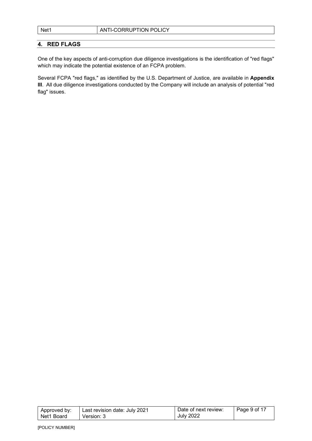## 4. RED FLAGS

One of the key aspects of anti-corruption due diligence investigations is the identification of "red flags" which may indicate the potential existence of an FCPA problem.

Several FCPA "red flags," as identified by the U.S. Department of Justice, are available in Appendix III. All due diligence investigations conducted by the Company will include an analysis of potential "red flag" issues.

| Approved by: | Last revision date: July 2021 | Date of next review: | $\vert$ Page 9 of 17 |
|--------------|-------------------------------|----------------------|----------------------|
| Net1 Board   | Version: 3                    | <b>July 2022</b>     |                      |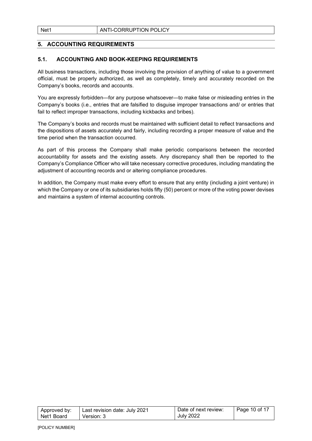## 5. ACCOUNTING REQUIREMENTS

#### 5.1. ACCOUNTING AND BOOK-KEEPING REQUIREMENTS

All business transactions, including those involving the provision of anything of value to a government official, must be properly authorized, as well as completely, timely and accurately recorded on the Company's books, records and accounts.

You are expressly forbidden—for any purpose whatsoever—to make false or misleading entries in the Company's books (i.e., entries that are falsified to disguise improper transactions and/ or entries that fail to reflect improper transactions, including kickbacks and bribes).

The Company's books and records must be maintained with sufficient detail to reflect transactions and the dispositions of assets accurately and fairly, including recording a proper measure of value and the time period when the transaction occurred.

As part of this process the Company shall make periodic comparisons between the recorded accountability for assets and the existing assets. Any discrepancy shall then be reported to the Company's Compliance Officer who will take necessary corrective procedures, including mandating the adjustment of accounting records and or altering compliance procedures.

In addition, the Company must make every effort to ensure that any entity (including a joint venture) in which the Company or one of its subsidiaries holds fifty (50) percent or more of the voting power devises and maintains a system of internal accounting controls.

| Approved by: | Last revision date: July 2021 | Date of next review: | $\vert$ Page 10 of 17 |
|--------------|-------------------------------|----------------------|-----------------------|
| l Net1 Board | Version: 3                    | <b>July 2022</b>     |                       |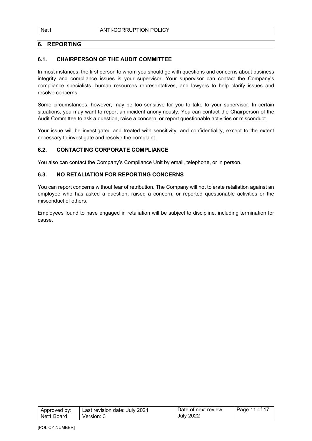## 6. REPORTING

#### 6.1. CHAIRPERSON OF THE AUDIT COMMITTEE

In most instances, the first person to whom you should go with questions and concerns about business integrity and compliance issues is your supervisor. Your supervisor can contact the Company's compliance specialists, human resources representatives, and lawyers to help clarify issues and resolve concerns.

Some circumstances, however, may be too sensitive for you to take to your supervisor. In certain situations, you may want to report an incident anonymously. You can contact the Chairperson of the Audit Committee to ask a question, raise a concern, or report questionable activities or misconduct.

Your issue will be investigated and treated with sensitivity, and confidentiality, except to the extent necessary to investigate and resolve the complaint.

#### 6.2. CONTACTING CORPORATE COMPLIANCE

You also can contact the Company's Compliance Unit by email, telephone, or in person.

#### 6.3. NO RETALIATION FOR REPORTING CONCERNS

You can report concerns without fear of retribution. The Company will not tolerate retaliation against an employee who has asked a question, raised a concern, or reported questionable activities or the misconduct of others.

Employees found to have engaged in retaliation will be subject to discipline, including termination for cause.

| Approved by: | Last revision date: July 2021 | Date of next review: | Page 11 of 17 |
|--------------|-------------------------------|----------------------|---------------|
| Net1 Board   | Version: 3                    | <b>July 2022</b>     |               |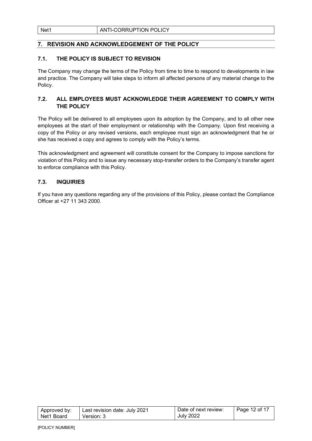## 7. REVISION AND ACKNOWLEDGEMENT OF THE POLICY

#### 7.1. THE POLICY IS SUBJECT TO REVISION

The Company may change the terms of the Policy from time to time to respond to developments in law and practice. The Company will take steps to inform all affected persons of any material change to the Policy.

## 7.2. ALL EMPLOYEES MUST ACKNOWLEDGE THEIR AGREEMENT TO COMPLY WITH THE POLICY

The Policy will be delivered to all employees upon its adoption by the Company, and to all other new employees at the start of their employment or relationship with the Company. Upon first receiving a copy of the Policy or any revised versions, each employee must sign an acknowledgment that he or she has received a copy and agrees to comply with the Policy's terms.

This acknowledgment and agreement will constitute consent for the Company to impose sanctions for violation of this Policy and to issue any necessary stop-transfer orders to the Company's transfer agent to enforce compliance with this Policy.

#### 7.3. INQUIRIES

If you have any questions regarding any of the provisions of this Policy, please contact the Compliance Officer at +27 11 343 2000.

| Approved by: | Last revision date: July 2021 | Date of next review: | Page 12 of 17 |
|--------------|-------------------------------|----------------------|---------------|
| Net1 Board   | Version: 3                    | <b>July 2022</b>     |               |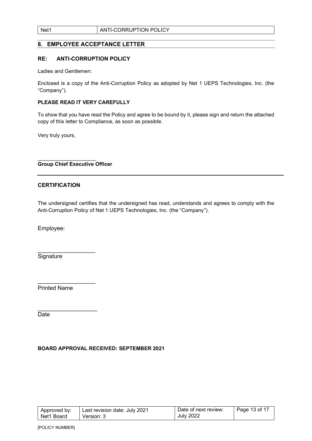## 8. EMPLOYEE ACCEPTANCE LETTER

#### RE: ANTI-CORRUPTION POLICY

Ladies and Gentlemen:

Enclosed is a copy of the Anti-Corruption Policy as adopted by Net 1 UEPS Technologies, Inc. (the "Company").

#### PLEASE READ IT VERY CAREFULLY

To show that you have read the Policy and agree to be bound by it, please sign and return the attached copy of this letter to Compliance, as soon as possible.

Very truly yours,

#### Group Chief Executive Officer

 $\overline{\phantom{a}}$  , and the set of the set of the set of the set of the set of the set of the set of the set of the set of the set of the set of the set of the set of the set of the set of the set of the set of the set of the s

#### **CERTIFICATION**

The undersigned certifies that the undersigned has read, understands and agrees to comply with the Anti-Corruption Policy of Net 1 UEPS Technologies, Inc. (the "Company").

Employee:

**Signature** 

 $\overline{\phantom{a}}$  , where  $\overline{\phantom{a}}$ 

 $\overline{\phantom{a}}$  , where  $\overline{\phantom{a}}$ 

 $\_$ 

Printed Name

**Date** 

#### BOARD APPROVAL RECEIVED: SEPTEMBER 2021

| Approved by: | Last revision date: July 2021 | Date of next review: | Page 13 of 17 |
|--------------|-------------------------------|----------------------|---------------|
| Net1 Board   | Version: 3                    | <b>July 2022</b>     |               |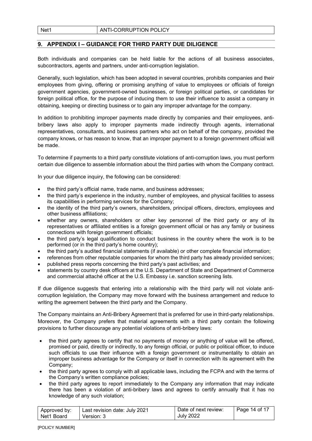## 9. APPENDIX I – GUIDANCE FOR THIRD PARTY DUE DILIGENCE

Both individuals and companies can be held liable for the actions of all business associates, subcontractors, agents and partners, under anti-corruption legislation.

Generally, such legislation, which has been adopted in several countries, prohibits companies and their employees from giving, offering or promising anything of value to employees or officials of foreign government agencies, government-owned businesses, or foreign political parties, or candidates for foreign political office, for the purpose of inducing them to use their influence to assist a company in obtaining, keeping or directing business or to gain any improper advantage for the company.

In addition to prohibiting improper payments made directly by companies and their employees, antibribery laws also apply to improper payments made indirectly through agents, international representatives, consultants, and business partners who act on behalf of the company, provided the company knows, or has reason to know, that an improper payment to a foreign government official will be made.

To determine if payments to a third party constitute violations of anti-corruption laws, you must perform certain due diligence to assemble information about the third parties with whom the Company contract.

In your due diligence inquiry, the following can be considered:

- the third party's official name, trade name, and business addresses;
- the third party's experience in the industry, number of employees, and physical facilities to assess its capabilities in performing services for the Company;
- the identity of the third party's owners, shareholders, principal officers, directors, employees and other business affiliations;
- whether any owners, shareholders or other key personnel of the third party or any of its representatives or affiliated entities is a foreign government official or has any family or business connections with foreign government officials;
- the third party's legal qualification to conduct business in the country where the work is to be performed (or in the third party's home country);
- the third party's audited financial statements (if available) or other complete financial information;
- references from other reputable companies for whom the third party has already provided services;
- published press reports concerning the third party's past activities; and
- statements by country desk officers at the U.S. Department of State and Department of Commerce and commercial attaché officer at the U.S. Embassy i.e. sanction screening lists.

If due diligence suggests that entering into a relationship with the third party will not violate anticorruption legislation, the Company may move forward with the business arrangement and reduce to writing the agreement between the third party and the Company.

The Company maintains an Anti-Bribery Agreement that is preferred for use in third-party relationships. Moreover, the Company prefers that material agreements with a third party contain the following provisions to further discourage any potential violations of anti-bribery laws:

- the third party agrees to certify that no payments of money or anything of value will be offered, promised or paid, directly or indirectly, to any foreign official, or public or political officer, to induce such officials to use their influence with a foreign government or instrumentality to obtain an improper business advantage for the Company or itself in connection with its agreement with the Company;
- the third party agrees to comply with all applicable laws, including the FCPA and with the terms of the Company's written compliance policies;
- the third party agrees to report immediately to the Company any information that may indicate there has been a violation of anti-bribery laws and agrees to certify annually that it has no knowledge of any such violation;

| Approved by: | Last revision date: July 2021 | Date of next review: | Page 14 of 17 |
|--------------|-------------------------------|----------------------|---------------|
| Net1 Board   | Version: 3                    | <b>July 2022</b>     |               |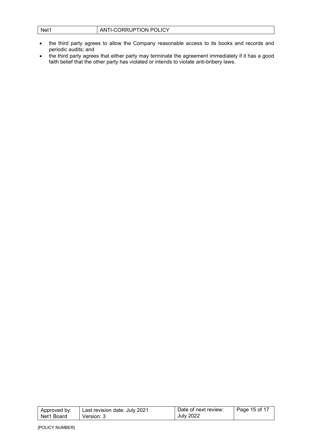| ANTI-CORRUPTION POLICY<br>Net1 |
|--------------------------------|
|--------------------------------|

- the third party agrees to allow the Company reasonable access to its books and records and periodic audits; and
- the third party agrees that either party may terminate the agreement immediately if it has a good faith belief that the other party has violated or intends to violate anti-bribery laws.

| Approved by: | Last revision date: July 2021 | Date of next review: | Page 15 of 17 |
|--------------|-------------------------------|----------------------|---------------|
| l Net1 Board | Version: 3                    | <b>July 2022</b>     |               |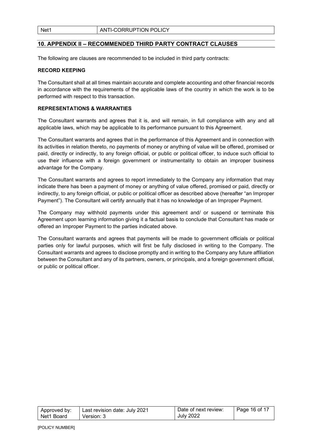## 10. APPENDIX II – RECOMMENDED THIRD PARTY CONTRACT CLAUSES

The following are clauses are recommended to be included in third party contracts:

#### RECORD KEEPING

The Consultant shall at all times maintain accurate and complete accounting and other financial records in accordance with the requirements of the applicable laws of the country in which the work is to be performed with respect to this transaction.

#### REPRESENTATIONS & WARRANTIES

The Consultant warrants and agrees that it is, and will remain, in full compliance with any and all applicable laws, which may be applicable to its performance pursuant to this Agreement.

The Consultant warrants and agrees that in the performance of this Agreement and in connection with its activities in relation thereto, no payments of money or anything of value will be offered, promised or paid, directly or indirectly, to any foreign official, or public or political officer, to induce such official to use their influence with a foreign government or instrumentality to obtain an improper business advantage for the Company.

The Consultant warrants and agrees to report immediately to the Company any information that may indicate there has been a payment of money or anything of value offered, promised or paid, directly or indirectly, to any foreign official, or public or political officer as described above (hereafter "an Improper Payment"). The Consultant will certify annually that it has no knowledge of an Improper Payment.

The Company may withhold payments under this agreement and/ or suspend or terminate this Agreement upon learning information giving it a factual basis to conclude that Consultant has made or offered an Improper Payment to the parties indicated above.

The Consultant warrants and agrees that payments will be made to government officials or political parties only for lawful purposes, which will first be fully disclosed in writing to the Company. The Consultant warrants and agrees to disclose promptly and in writing to the Company any future affiliation between the Consultant and any of its partners, owners, or principals, and a foreign government official, or public or political officer.

| Approved by: | Last revision date: July 2021 | Date of next review: | Page 16 of 17 |
|--------------|-------------------------------|----------------------|---------------|
| Net1 Board   | Version: 3                    | <b>July 2022</b>     |               |